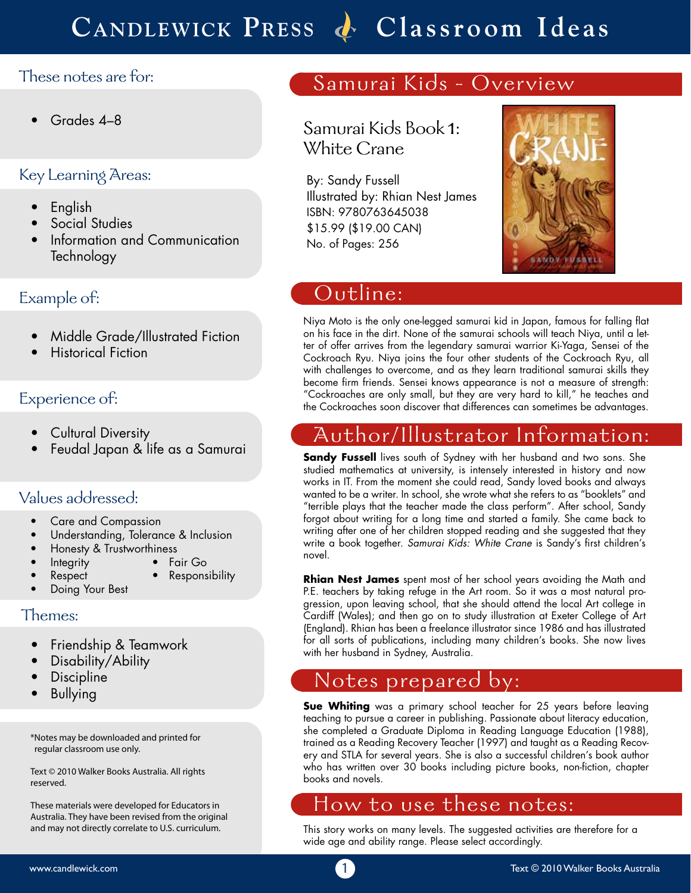# **Candlewick Press Classroom Ideas**

### These notes are for:

• Grades 4–8

### Key Learning Areas:

- English
- Social Studies
- Information and Communication Technology

### Example of:

- Middle Grade/Illustrated Fiction
- Historical Fiction

### Experience of:

- Cultural Diversity
- Feudal Japan & life as a Samurai

### Values addressed:

- Care and Compassion
- Understanding, Tolerance & Inclusion
- Honesty & Trustworthiness
- Integrity Fair Go
	- Respect Responsibility
	- Doing Your Best

#### Themes:

- Friendship & Teamwork
- Disability/Ability
- **Discipline**
- 

\*Notes may be downloaded and printed for regular classroom use only.

Text © 2010 Walker Books Australia. All rights reserved.

These materials were developed for Educators in Australia. They have been revised from the original and may not directly correlate to U.S. curriculum.

## Samurai Kids - Overview

Samurai Kids Book 1: White Crane

By: Sandy Fussell Illustrated by: Rhian Nest James ISBN: 9780763645038 \$15.99 (\$19.00 CAN) No. of Pages: 256



## Outline:

Niya Moto is the only one-legged samurai kid in Japan, famous for falling flat on his face in the dirt. None of the samurai schools will teach Niya, until a letter of offer arrives from the legendary samurai warrior Ki-Yaga, Sensei of the Cockroach Ryu. Niya joins the four other students of the Cockroach Ryu, all with challenges to overcome, and as they learn traditional samurai skills they become firm friends. Sensei knows appearance is not a measure of strength: "Cockroaches are only small, but they are very hard to kill," he teaches and the Cockroaches soon discover that differences can sometimes be advantages.

## Author/Illustrator Information:

**Sandy Fussell** lives south of Sydney with her husband and two sons. She studied mathematics at university, is intensely interested in history and now works in IT. From the moment she could read, Sandy loved books and always wanted to be a writer. In school, she wrote what she refers to as "booklets" and "terrible plays that the teacher made the class perform". After school, Sandy forgot about writing for a long time and started a family. She came back to writing after one of her children stopped reading and she suggested that they write a book together. *Samurai Kids: White Crane* is Sandy's first children's novel.

**Rhian Nest James** spent most of her school years avoiding the Math and P.E. teachers by taking refuge in the Art room. So it was a most natural progression, upon leaving school, that she should attend the local Art college in Cardiff (Wales); and then go on to study illustration at Exeter College of Art (England). Rhian has been a freelance illustrator since 1986 and has illustrated for all sorts of publications, including many children's books. She now lives with her husband in Sydney, Australia.

# Discipline **Example 2.1 Notes prepared by:**<br>Bullying

**Sue Whiting** was a primary school teacher for 25 years before leaving teaching to pursue a career in publishing. Passionate about literacy education, she completed a Graduate Diploma in Reading Language Education (1988), trained as a Reading Recovery Teacher (1997) and taught as a Reading Recovery and STLA for several years. She is also a successful children's book author who has written over 30 books including picture books, non-fiction, chapter books and novels.

### How to use these notes:

This story works on many levels. The suggested activities are therefore for a wide age and ability range. Please select accordingly.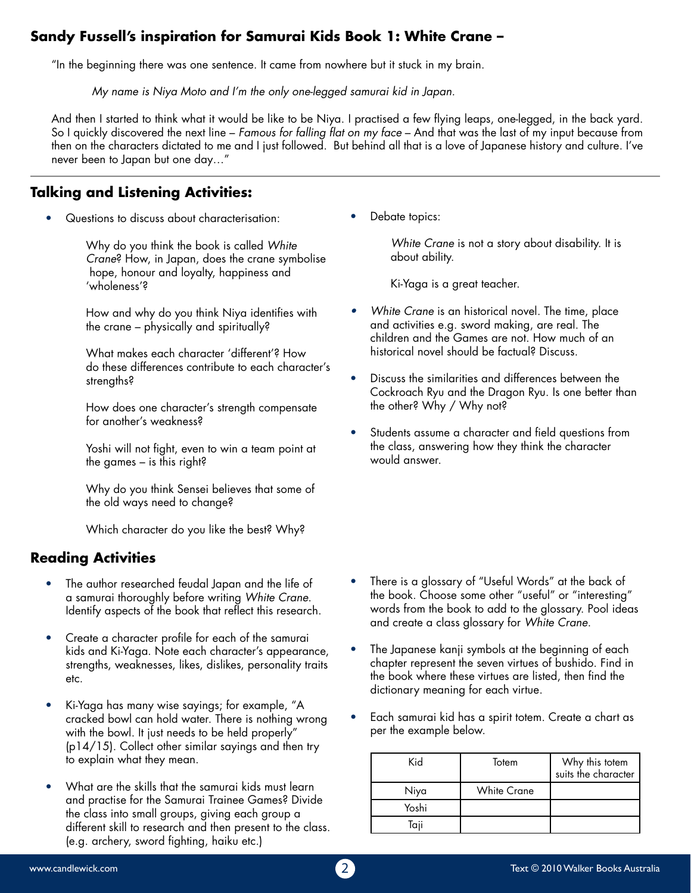### **Sandy Fussell's inspiration for Samurai Kids Book 1: White Crane –**

"In the beginning there was one sentence. It came from nowhere but it stuck in my brain.

*My name is Niya Moto and I'm the only one-legged samurai kid in Japan.* 

And then I started to think what it would be like to be Niya. I practised a few flying leaps, one-legged, in the back yard. So I quickly discovered the next line – *Famous for falling flat on my face* – And that was the last of my input because from then on the characters dictated to me and I just followed. But behind all that is a love of Japanese history and culture. I've never been to Japan but one day…"

### **Talking and Listening Activities:**

• Questions to discuss about characterisation:

Why do you think the book is called *White Crane*? How, in Japan, does the crane symbolise hope, honour and loyalty, happiness and 'wholeness'?

How and why do you think Niya identifies with the crane – physically and spiritually?

What makes each character 'different'? How do these differences contribute to each character's strengths?

How does one character's strength compensate for another's weakness?

Yoshi will not fight, even to win a team point at the games – is this right?

Why do you think Sensei believes that some of the old ways need to change?

Which character do you like the best? Why?

### **Reading Activities**

- The author researched feudal Japan and the life of a samurai thoroughly before writing *White Crane*. Identify aspects of the book that reflect this research.
- Create a character profile for each of the samurai kids and Ki-Yaga. Note each character's appearance, strengths, weaknesses, likes, dislikes, personality traits etc.
- Ki-Yaga has many wise sayings; for example, "A cracked bowl can hold water. There is nothing wrong with the bowl. It just needs to be held properly" (p14/15). Collect other similar sayings and then try to explain what they mean.
- What are the skills that the samurai kids must learn and practise for the Samurai Trainee Games? Divide the class into small groups, giving each group a different skill to research and then present to the class. (e.g. archery, sword fighting, haiku etc.)

Debate topics:

*White Crane* is not a story about disability. It is about ability.

Ki-Yaga is a great teacher.

- *• White Crane* is an historical novel. The time, place and activities e.g. sword making, are real. The children and the Games are not. How much of an historical novel should be factual? Discuss.
- Discuss the similarities and differences between the Cockroach Ryu and the Dragon Ryu. Is one better than the other? Why / Why not?
- Students assume a character and field questions from the class, answering how they think the character would answer.

- There is a glossary of "Useful Words" at the back of the book. Choose some other "useful" or "interesting" words from the book to add to the glossary. Pool ideas and create a class glossary for *White Crane*.
- The Japanese kanji symbols at the beginning of each chapter represent the seven virtues of bushido. Find in the book where these virtues are listed, then find the dictionary meaning for each virtue.
- Each samurai kid has a spirit totem. Create a chart as per the example below.

| Kid   | Totem              | Why this totem<br>suits the character |
|-------|--------------------|---------------------------------------|
| Niya  | <b>White Crane</b> |                                       |
| Yoshi |                    |                                       |
| iaii  |                    |                                       |